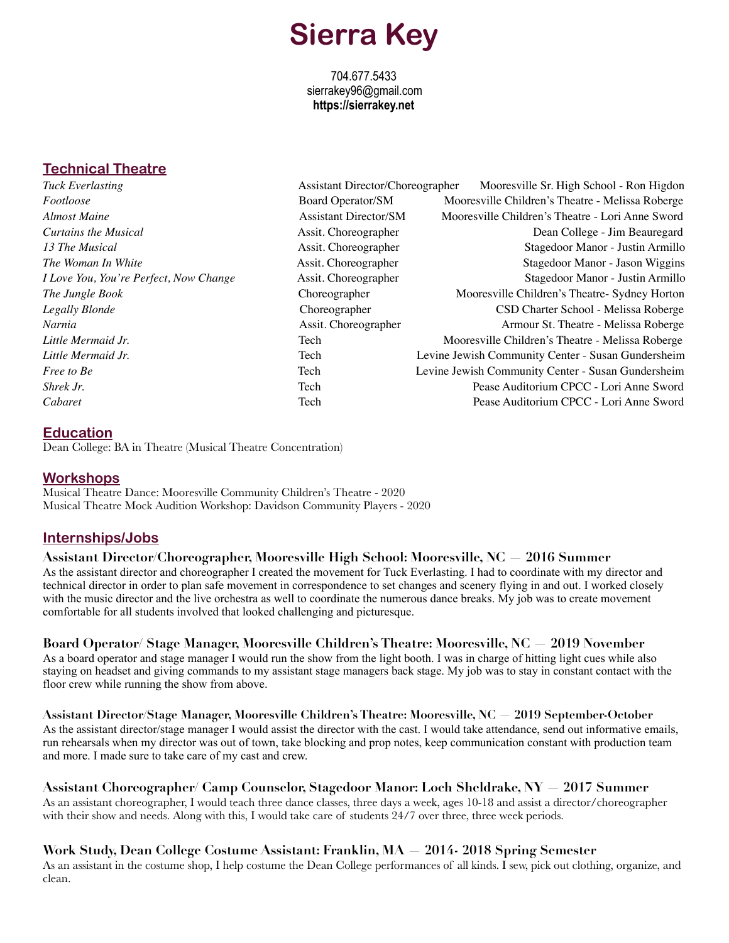# **Sierra Key**

704.677.5433 sierrakey96@gmail.com **https://sierrakey.net** 

# **Technical Theatre**

*Tuck Everlasting* Assistant Director/Choreographer Mooresville Sr. High School - Ron Higdon *Footloose* Board Operator/SM Mooresville Children's Theatre - Melissa Roberge *Almost Maine* Assistant Director/SM Mooresville Children's Theatre - Lori Anne Sword *Curtains the Musical* **Assit.** Choreographer **Assit.** Choreographer **Dean College - Jim Beauregard** *13 The Musical* **Assis Example 20** Assit. Choreographer **Assis Example 20 Stagedoor Manor** - Justin Armillo *The Woman In White* **Assis Example 2008** Assit. Choreographer **Assis Example 2008** Stagedoor Manor - Jason Wiggins *I Love You, You're Perfect, Now Change* Assit. Choreographer Stagedoor Manor - Justin Armillo **The Jungle Book Choreographer Mooresville Children's Theatre- Sydney Horton** *Legally Blonde* Choreographer CSD Charter School - Melissa Roberge *Narnia* **Assit.** Choreographer **Armour St. Theatre - Melissa Roberge Armour St.** Theatre - Melissa Roberge *Little Mermaid Jr.* Tech **Tech Mooresville Children's Theatre - Melissa Roberge** *Children's Theatre - Melissa* Roberge *Little Mermaid Jr.* Tech Levine Jewish Community Center - Susan Gundersheim *Free to Be* Tech **Tech Levine Jewish Community Center - Susan Gundersheim Shrek Jr.** Tech Pease Auditorium CPCC - Lori Anne Sword *Cabaret* Tech Pease Auditorium CPCC - Lori Anne Sword

## **Education**

Dean College: BA in Theatre (Musical Theatre Concentration)

### **Workshops**

Musical Theatre Dance: Mooresville Community Children's Theatre - 2020 Musical Theatre Mock Audition Workshop: Davidson Community Players - 2020

## **Internships/Jobs**

**Assistant Director/Choreographer, Mooresville High School: Mooresville, NC — 2016 Summer**  As the assistant director and choreographer I created the movement for Tuck Everlasting. I had to coordinate with my director and technical director in order to plan safe movement in correspondence to set changes and scenery flying in and out. I worked closely with the music director and the live orchestra as well to coordinate the numerous dance breaks. My job was to create movement comfortable for all students involved that looked challenging and picturesque.

## **Board Operator/ Stage Manager, Mooresville Children's Theatre: Mooresville, NC — 2019 November**

As a board operator and stage manager I would run the show from the light booth. I was in charge of hitting light cues while also staying on headset and giving commands to my assistant stage managers back stage. My job was to stay in constant contact with the floor crew while running the show from above.

**Assistant Director/Stage Manager, Mooresville Children's Theatre: Mooresville, NC — 2019 September-October** As the assistant director/stage manager I would assist the director with the cast. I would take attendance, send out informative emails, run rehearsals when my director was out of town, take blocking and prop notes, keep communication constant with production team and more. I made sure to take care of my cast and crew.

**Assistant Choreographer/ Camp Counselor, Stagedoor Manor: Loch Sheldrake, NY — 2017 Summer** As an assistant choreographer, I would teach three dance classes, three days a week, ages 10-18 and assist a director/choreographer with their show and needs. Along with this, I would take care of students 24/7 over three, three week periods.

**Work Study, Dean College Costume Assistant: Franklin, MA — 2014- 2018 Spring Semester**  As an assistant in the costume shop, I help costume the Dean College performances of all kinds. I sew, pick out clothing, organize, and clean.